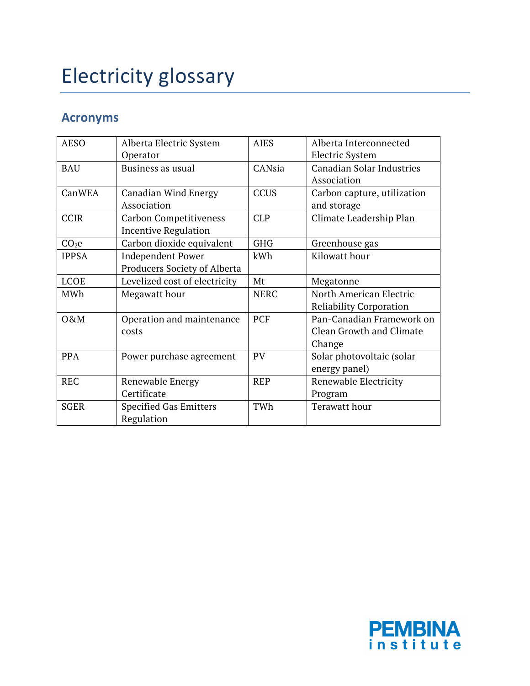## Electricity glossary

## **Acronyms**

| <b>AESO</b>       | Alberta Electric System       | <b>AIES</b> | Alberta Interconnected           |
|-------------------|-------------------------------|-------------|----------------------------------|
|                   | Operator                      |             | <b>Electric System</b>           |
| <b>BAU</b>        | Business as usual             | CANsia      | <b>Canadian Solar Industries</b> |
|                   |                               |             | Association                      |
| CanWEA            | <b>Canadian Wind Energy</b>   | <b>CCUS</b> | Carbon capture, utilization      |
|                   | Association                   |             | and storage                      |
| <b>CCIR</b>       | <b>Carbon Competitiveness</b> | <b>CLP</b>  | Climate Leadership Plan          |
|                   | <b>Incentive Regulation</b>   |             |                                  |
| CO <sub>2</sub> e | Carbon dioxide equivalent     | <b>GHG</b>  | Greenhouse gas                   |
| <b>IPPSA</b>      | <b>Independent Power</b>      | kWh         | Kilowatt hour                    |
|                   | Producers Society of Alberta  |             |                                  |
| <b>LCOE</b>       | Levelized cost of electricity | Mt          | Megatonne                        |
| MWh               | Megawatt hour                 | <b>NERC</b> | North American Electric          |
|                   |                               |             | <b>Reliability Corporation</b>   |
| O&M               | Operation and maintenance     | <b>PCF</b>  | Pan-Canadian Framework on        |
|                   | costs                         |             | Clean Growth and Climate         |
|                   |                               |             | Change                           |
| <b>PPA</b>        | Power purchase agreement      | <b>PV</b>   | Solar photovoltaic (solar        |
|                   |                               |             | energy panel)                    |
| <b>REC</b>        | Renewable Energy              | <b>REP</b>  | Renewable Electricity            |
|                   | Certificate                   |             | Program                          |
| <b>SGER</b>       | <b>Specified Gas Emitters</b> | TWh         | Terawatt hour                    |
|                   | Regulation                    |             |                                  |

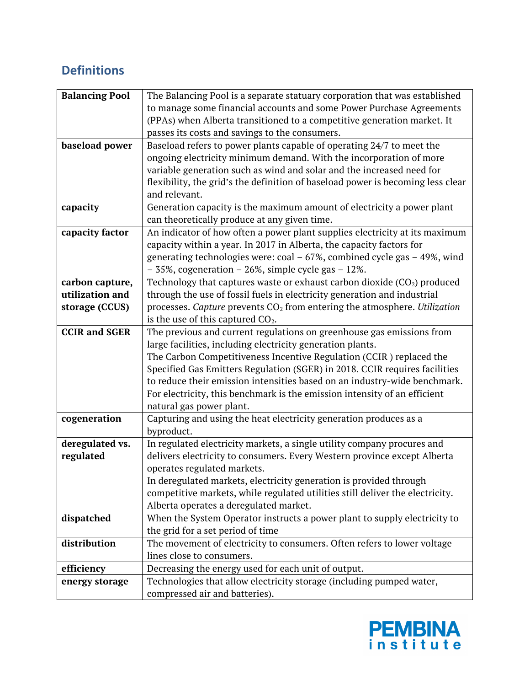## **Definitions**

| <b>Balancing Pool</b> | The Balancing Pool is a separate statuary corporation that was established                           |  |  |
|-----------------------|------------------------------------------------------------------------------------------------------|--|--|
|                       | to manage some financial accounts and some Power Purchase Agreements                                 |  |  |
|                       | (PPAs) when Alberta transitioned to a competitive generation market. It                              |  |  |
|                       | passes its costs and savings to the consumers.                                                       |  |  |
| baseload power        | Baseload refers to power plants capable of operating 24/7 to meet the                                |  |  |
|                       | ongoing electricity minimum demand. With the incorporation of more                                   |  |  |
|                       | variable generation such as wind and solar and the increased need for                                |  |  |
|                       | flexibility, the grid's the definition of baseload power is becoming less clear                      |  |  |
|                       | and relevant.                                                                                        |  |  |
| capacity              | Generation capacity is the maximum amount of electricity a power plant                               |  |  |
|                       | can theoretically produce at any given time.                                                         |  |  |
| capacity factor       | An indicator of how often a power plant supplies electricity at its maximum                          |  |  |
|                       | capacity within a year. In 2017 in Alberta, the capacity factors for                                 |  |  |
|                       | generating technologies were: coal $-67\%$ , combined cycle gas $-49\%$ , wind                       |  |  |
|                       | $-35\%$ , cogeneration $-26\%$ , simple cycle gas $-12\%$ .                                          |  |  |
| carbon capture,       | Technology that captures waste or exhaust carbon dioxide $(CO2)$ produced                            |  |  |
| utilization and       | through the use of fossil fuels in electricity generation and industrial                             |  |  |
| storage (CCUS)        | processes. Capture prevents $CO2$ from entering the atmosphere. Utilization                          |  |  |
|                       | is the use of this captured $CO2$ .                                                                  |  |  |
| <b>CCIR and SGER</b>  | The previous and current regulations on greenhouse gas emissions from                                |  |  |
|                       | large facilities, including electricity generation plants.                                           |  |  |
|                       | The Carbon Competitiveness Incentive Regulation (CCIR) replaced the                                  |  |  |
|                       | Specified Gas Emitters Regulation (SGER) in 2018. CCIR requires facilities                           |  |  |
|                       | to reduce their emission intensities based on an industry-wide benchmark.                            |  |  |
|                       | For electricity, this benchmark is the emission intensity of an efficient                            |  |  |
|                       | natural gas power plant.                                                                             |  |  |
| cogeneration          | Capturing and using the heat electricity generation produces as a                                    |  |  |
|                       | byproduct.                                                                                           |  |  |
| deregulated vs.       | In regulated electricity markets, a single utility company procures and                              |  |  |
| regulated             | delivers electricity to consumers. Every Western province except Alberta                             |  |  |
|                       | operates regulated markets.                                                                          |  |  |
|                       | In deregulated markets, electricity generation is provided through                                   |  |  |
|                       | competitive markets, while regulated utilities still deliver the electricity.                        |  |  |
|                       | Alberta operates a deregulated market.                                                               |  |  |
| dispatched            | When the System Operator instructs a power plant to supply electricity to                            |  |  |
|                       | the grid for a set period of time                                                                    |  |  |
| distribution          | The movement of electricity to consumers. Often refers to lower voltage<br>lines close to consumers. |  |  |
| efficiency            | Decreasing the energy used for each unit of output.                                                  |  |  |
|                       |                                                                                                      |  |  |
| energy storage        | Technologies that allow electricity storage (including pumped water,                                 |  |  |
|                       | compressed air and batteries).                                                                       |  |  |

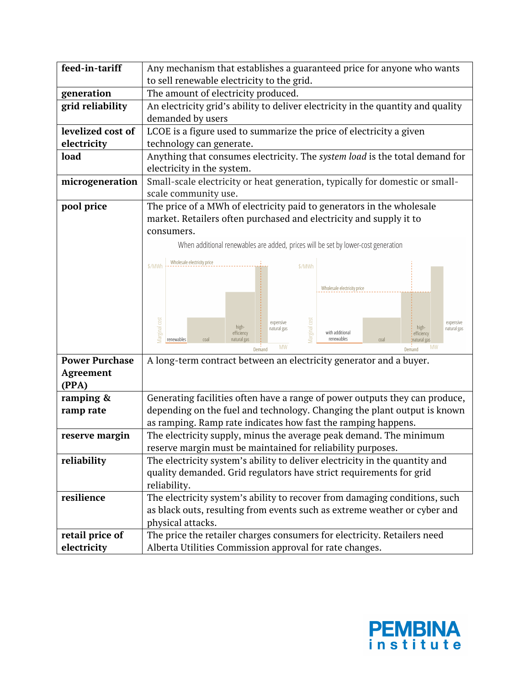| feed-in-tariff        | Any mechanism that establishes a guaranteed price for anyone who wants                                                                |  |  |
|-----------------------|---------------------------------------------------------------------------------------------------------------------------------------|--|--|
|                       | to sell renewable electricity to the grid.                                                                                            |  |  |
| generation            | The amount of electricity produced.                                                                                                   |  |  |
| grid reliability      | An electricity grid's ability to deliver electricity in the quantity and quality                                                      |  |  |
|                       | demanded by users                                                                                                                     |  |  |
| levelized cost of     | LCOE is a figure used to summarize the price of electricity a given                                                                   |  |  |
| electricity           | technology can generate.                                                                                                              |  |  |
| load                  | Anything that consumes electricity. The system load is the total demand for                                                           |  |  |
|                       | electricity in the system.                                                                                                            |  |  |
| microgeneration       | Small-scale electricity or heat generation, typically for domestic or small-                                                          |  |  |
|                       | scale community use.                                                                                                                  |  |  |
| pool price            | The price of a MWh of electricity paid to generators in the wholesale                                                                 |  |  |
|                       | market. Retailers often purchased and electricity and supply it to                                                                    |  |  |
|                       | consumers.                                                                                                                            |  |  |
|                       | When additional renewables are added, prices will be set by lower-cost generation                                                     |  |  |
|                       | Wholesale electricity price                                                                                                           |  |  |
|                       | \$/MWh<br>\$/MWh                                                                                                                      |  |  |
|                       | Wholesale electricity price                                                                                                           |  |  |
|                       |                                                                                                                                       |  |  |
|                       |                                                                                                                                       |  |  |
|                       | Marginal cos<br>expensive<br>expensive<br>high-<br>high-<br>natural gas<br>natural gas                                                |  |  |
|                       | Marginal cos<br>with additional<br>efficiency<br>efficiency<br>renewables<br>natural gas<br>renewables<br>coal<br>coal<br>natural gas |  |  |
|                       | <b>MW</b><br>MW<br>Demand<br>Demand                                                                                                   |  |  |
| <b>Power Purchase</b> | A long-term contract between an electricity generator and a buyer.                                                                    |  |  |
| Agreement             |                                                                                                                                       |  |  |
| (PPA)                 |                                                                                                                                       |  |  |
| ramping &             | Generating facilities often have a range of power outputs they can produce,                                                           |  |  |
| ramp rate             | depending on the fuel and technology. Changing the plant output is known                                                              |  |  |
|                       | as ramping. Ramp rate indicates how fast the ramping happens.                                                                         |  |  |
| reserve margin        | The electricity supply, minus the average peak demand. The minimum                                                                    |  |  |
|                       | reserve margin must be maintained for reliability purposes.                                                                           |  |  |
| reliability           | The electricity system's ability to deliver electricity in the quantity and                                                           |  |  |
|                       | quality demanded. Grid regulators have strict requirements for grid                                                                   |  |  |
|                       | reliability.                                                                                                                          |  |  |
| resilience            | The electricity system's ability to recover from damaging conditions, such                                                            |  |  |
|                       | as black outs, resulting from events such as extreme weather or cyber and                                                             |  |  |
|                       | physical attacks.                                                                                                                     |  |  |
| retail price of       | The price the retailer charges consumers for electricity. Retailers need                                                              |  |  |
| electricity           | Alberta Utilities Commission approval for rate changes.                                                                               |  |  |